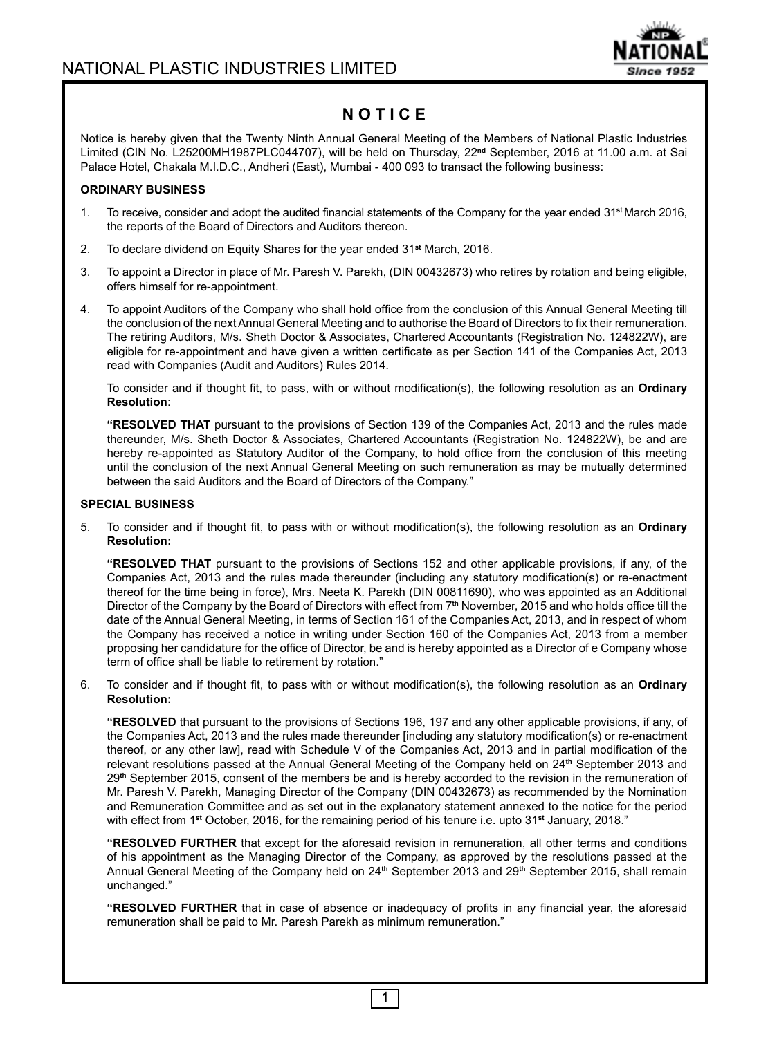

# **N O T I C E**

Notice is hereby given that the Twenty Ninth Annual General Meeting of the Members of National Plastic Industries Limited (CIN No. L25200MH1987PLC044707), will be held on Thursday, 22**nd** September, 2016 at 11.00 a.m. at Sai Palace Hotel, Chakala M.I.D.C., Andheri (East), Mumbai - 400 093 to transact the following business:

### **ORDINARY BUSINESS**

- 1. To receive, consider and adopt the audited financial statements of the Company for the year ended 31**st** March 2016, the reports of the Board of Directors and Auditors thereon.
- 2. To declare dividend on Equity Shares for the year ended 31**st** March, 2016.
- 3. To appoint a Director in place of Mr. Paresh V. Parekh, (DIN 00432673) who retires by rotation and being eligible, offers himself for re-appointment.
- 4. To appoint Auditors of the Company who shall hold office from the conclusion of this Annual General Meeting till the conclusion of the next Annual General Meeting and to authorise the Board of Directors to fix their remuneration. The retiring Auditors, M/s. Sheth Doctor & Associates, Chartered Accountants (Registration No. 124822W), are eligible for re-appointment and have given a written certificate as per Section 141 of the Companies Act, 2013 read with Companies (Audit and Auditors) Rules 2014.

 To consider and if thought fit, to pass, with or without modification(s), the following resolution as an **Ordinary Resolution**:

**"RESOLVED THAT** pursuant to the provisions of Section 139 of the Companies Act, 2013 and the rules made thereunder, M/s. Sheth Doctor & Associates, Chartered Accountants (Registration No. 124822W), be and are hereby re-appointed as Statutory Auditor of the Company, to hold office from the conclusion of this meeting until the conclusion of the next Annual General Meeting on such remuneration as may be mutually determined between the said Auditors and the Board of Directors of the Company."

#### **SPECIAL BUSINESS**

5. To consider and if thought fit, to pass with or without modification(s), the following resolution as an **Ordinary Resolution:**

**"RESOLVED THAT** pursuant to the provisions of Sections 152 and other applicable provisions, if any, of the Companies Act, 2013 and the rules made thereunder (including any statutory modification(s) or re-enactment thereof for the time being in force), Mrs. Neeta K. Parekh (DIN 00811690), who was appointed as an Additional Director of the Company by the Board of Directors with effect from 7**th** November, 2015 and who holds office till the date of the Annual General Meeting, in terms of Section 161 of the Companies Act, 2013, and in respect of whom the Company has received a notice in writing under Section 160 of the Companies Act, 2013 from a member proposing her candidature for the office of Director, be and is hereby appointed as a Director of e Company whose term of office shall be liable to retirement by rotation."

6. To consider and if thought fit, to pass with or without modification(s), the following resolution as an **Ordinary Resolution:**

**"RESOLVED** that pursuant to the provisions of Sections 196, 197 and any other applicable provisions, if any, of the Companies Act, 2013 and the rules made thereunder [including any statutory modification(s) or re-enactment thereof, or any other law], read with Schedule V of the Companies Act, 2013 and in partial modification of the relevant resolutions passed at the Annual General Meeting of the Company held on 24**th** September 2013 and 29**th** September 2015, consent of the members be and is hereby accorded to the revision in the remuneration of Mr. Paresh V. Parekh, Managing Director of the Company (DIN 00432673) as recommended by the Nomination and Remuneration Committee and as set out in the explanatory statement annexed to the notice for the period with effect from 1**st** October, 2016, for the remaining period of his tenure i.e. upto 31**st** January, 2018."

**"RESOLVED FURTHER** that except for the aforesaid revision in remuneration, all other terms and conditions of his appointment as the Managing Director of the Company, as approved by the resolutions passed at the Annual General Meeting of the Company held on 24**th** September 2013 and 29**th** September 2015, shall remain unchanged."

**"RESOLVED FURTHER** that in case of absence or inadequacy of profits in any financial year, the aforesaid remuneration shall be paid to Mr. Paresh Parekh as minimum remuneration."

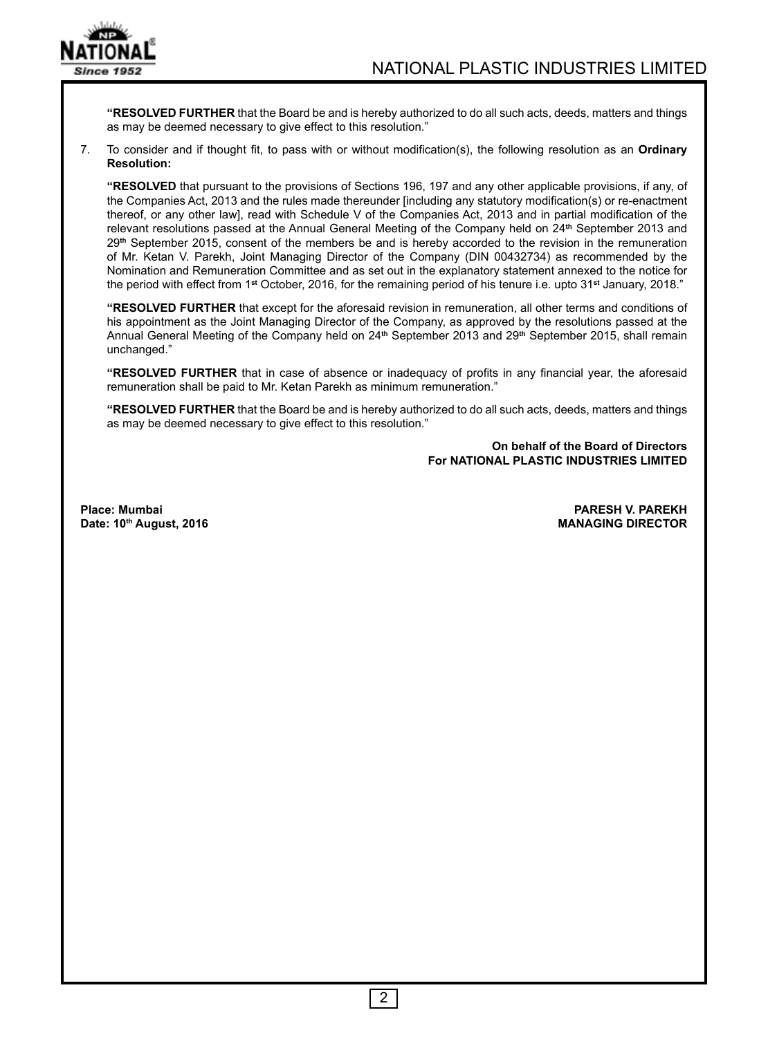

**"RESOLVED FURTHER** that the Board be and is hereby authorized to do all such acts, deeds, matters and things as may be deemed necessary to give effect to this resolution."

7. To consider and if thought fit, to pass with or without modification(s), the following resolution as an **Ordinary Resolution:**

**"RESOLVED** that pursuant to the provisions of Sections 196, 197 and any other applicable provisions, if any, of the Companies Act, 2013 and the rules made thereunder [including any statutory modification(s) or re-enactment thereof, or any other law], read with Schedule V of the Companies Act, 2013 and in partial modification of the relevant resolutions passed at the Annual General Meeting of the Company held on 24**th** September 2013 and 29**th** September 2015, consent of the members be and is hereby accorded to the revision in the remuneration of Mr. Ketan V. Parekh, Joint Managing Director of the Company (DIN 00432734) as recommended by the Nomination and Remuneration Committee and as set out in the explanatory statement annexed to the notice for the period with effect from 1**st** October, 2016, for the remaining period of his tenure i.e. upto 31**st** January, 2018."

**"RESOLVED FURTHER** that except for the aforesaid revision in remuneration, all other terms and conditions of his appointment as the Joint Managing Director of the Company, as approved by the resolutions passed at the Annual General Meeting of the Company held on 24**th** September 2013 and 29**th** September 2015, shall remain unchanged."

**"RESOLVED FURTHER** that in case of absence or inadequacy of profits in any financial year, the aforesaid remuneration shall be paid to Mr. Ketan Parekh as minimum remuneration."

**"RESOLVED FURTHER** that the Board be and is hereby authorized to do all such acts, deeds, matters and things as may be deemed necessary to give effect to this resolution."

> **On behalf of the Board of Directors For NATIONAL PLASTIC INDUSTRIES LIMITED**

**Date: 10th August, 2016** 

**Place: Mumbai PARESH V. PAREKH**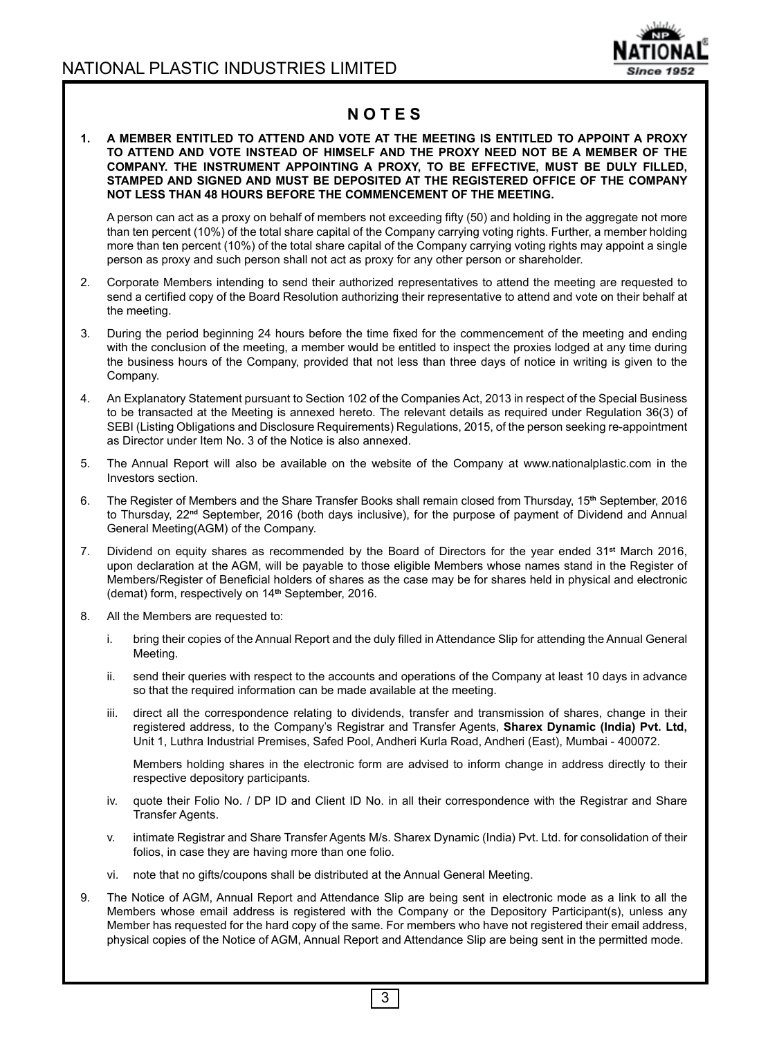

## **N O T E S**

#### **1. A MEMBER ENTITLED TO ATTEND AND VOTE AT THE MEETING IS ENTITLED TO APPOINT A PROXY TO ATTEND AND VOTE INSTEAD OF HIMSELF AND THE PROXY NEED NOT BE A MEMBER OF THE COMPANY. THE INSTRUMENT APPOINTING A PROXY, TO BE EFFECTIVE, MUST BE DULY FILLED, STAMPED AND SIGNED AND MUST BE DEPOSITED AT THE REGISTERED OFFICE OF THE COMPANY NOT LESS THAN 48 HOURS BEFORE THE COMMENCEMENT OF THE MEETING.**

 A person can act as a proxy on behalf of members not exceeding fifty (50) and holding in the aggregate not more than ten percent (10%) of the total share capital of the Company carrying voting rights. Further, a member holding more than ten percent (10%) of the total share capital of the Company carrying voting rights may appoint a single person as proxy and such person shall not act as proxy for any other person or shareholder.

- 2. Corporate Members intending to send their authorized representatives to attend the meeting are requested to send a certified copy of the Board Resolution authorizing their representative to attend and vote on their behalf at the meeting.
- 3. During the period beginning 24 hours before the time fixed for the commencement of the meeting and ending with the conclusion of the meeting, a member would be entitled to inspect the proxies lodged at any time during the business hours of the Company, provided that not less than three days of notice in writing is given to the Company.
- 4. An Explanatory Statement pursuant to Section 102 of the Companies Act, 2013 in respect of the Special Business to be transacted at the Meeting is annexed hereto. The relevant details as required under Regulation 36(3) of SEBI (Listing Obligations and Disclosure Requirements) Regulations, 2015, of the person seeking re-appointment as Director under Item No. 3 of the Notice is also annexed.
- 5. The Annual Report will also be available on the website of the Company at www.nationalplastic.com in the Investors section.
- 6. The Register of Members and the Share Transfer Books shall remain closed from Thursday, 15**th** September, 2016 to Thursday, 22**nd** September, 2016 (both days inclusive), for the purpose of payment of Dividend and Annual General Meeting(AGM) of the Company.
- 7. Dividend on equity shares as recommended by the Board of Directors for the year ended 31**st** March 2016, upon declaration at the AGM, will be payable to those eligible Members whose names stand in the Register of Members/Register of Beneficial holders of shares as the case may be for shares held in physical and electronic (demat) form, respectively on 14**th** September, 2016.
- 8. All the Members are requested to:
	- i. bring their copies of the Annual Report and the duly filled in Attendance Slip for attending the Annual General Meeting.
	- ii. send their queries with respect to the accounts and operations of the Company at least 10 days in advance so that the required information can be made available at the meeting.
	- iii. direct all the correspondence relating to dividends, transfer and transmission of shares, change in their registered address, to the Company's Registrar and Transfer Agents, **Sharex Dynamic (India) Pvt. Ltd,** Unit 1, Luthra Industrial Premises, Safed Pool, Andheri Kurla Road, Andheri (East), Mumbai - 400072.

 Members holding shares in the electronic form are advised to inform change in address directly to their respective depository participants.

- iv. quote their Folio No. / DP ID and Client ID No. in all their correspondence with the Registrar and Share Transfer Agents.
- v. intimate Registrar and Share Transfer Agents M/s. Sharex Dynamic (India) Pvt. Ltd. for consolidation of their folios, in case they are having more than one folio.
- vi. note that no gifts/coupons shall be distributed at the Annual General Meeting.
- 9. The Notice of AGM, Annual Report and Attendance Slip are being sent in electronic mode as a link to all the Members whose email address is registered with the Company or the Depository Participant(s), unless any Member has requested for the hard copy of the same. For members who have not registered their email address, physical copies of the Notice of AGM, Annual Report and Attendance Slip are being sent in the permitted mode.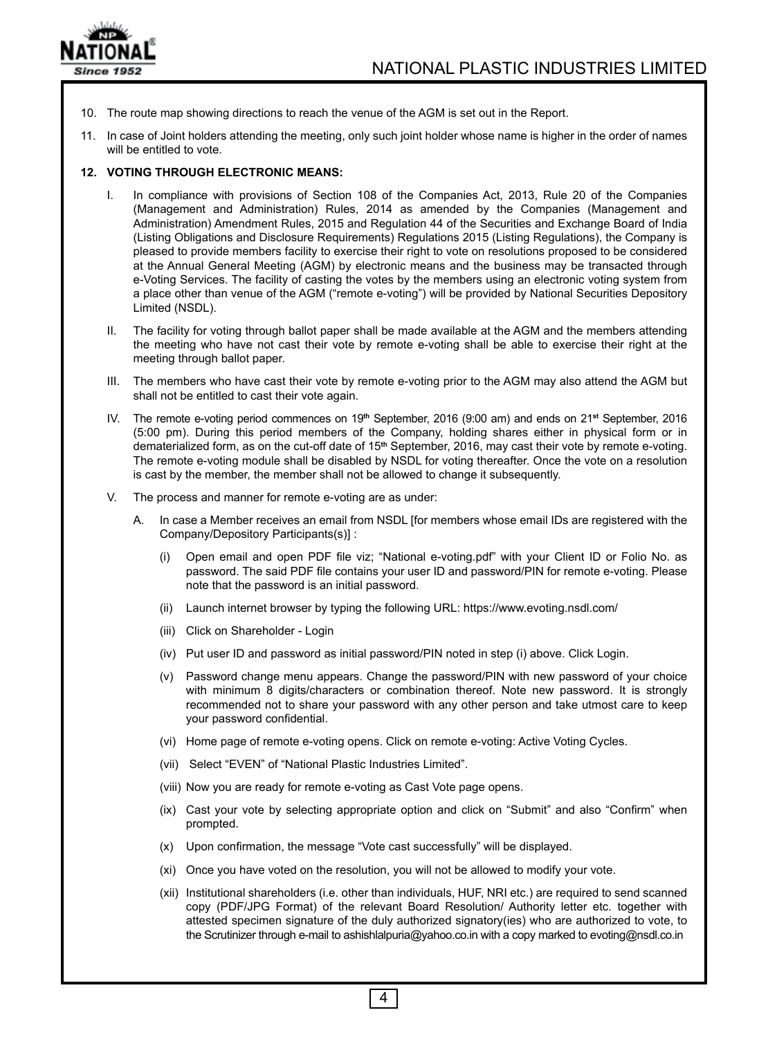

- 10. The route map showing directions to reach the venue of the AGM is set out in the Report.
- 11. In case of Joint holders attending the meeting, only such joint holder whose name is higher in the order of names will be entitled to vote.

### **12. VOTING THROUGH ELECTRONIC MEANS:**

- I. In compliance with provisions of Section 108 of the Companies Act, 2013, Rule 20 of the Companies (Management and Administration) Rules, 2014 as amended by the Companies (Management and Administration) Amendment Rules, 2015 and Regulation 44 of the Securities and Exchange Board of India (Listing Obligations and Disclosure Requirements) Regulations 2015 (Listing Regulations), the Company is pleased to provide members facility to exercise their right to vote on resolutions proposed to be considered at the Annual General Meeting (AGM) by electronic means and the business may be transacted through e-Voting Services. The facility of casting the votes by the members using an electronic voting system from a place other than venue of the AGM ("remote e-voting") will be provided by National Securities Depository Limited (NSDL).
- II. The facility for voting through ballot paper shall be made available at the AGM and the members attending the meeting who have not cast their vote by remote e-voting shall be able to exercise their right at the meeting through ballot paper.
- III. The members who have cast their vote by remote e-voting prior to the AGM may also attend the AGM but shall not be entitled to cast their vote again.
- IV. The remote e-voting period commences on 19**th** September, 2016 (9:00 am) and ends on 21**st** September, 2016 (5:00 pm). During this period members of the Company, holding shares either in physical form or in dematerialized form, as on the cut-off date of 15**th** September, 2016, may cast their vote by remote e-voting. The remote e-voting module shall be disabled by NSDL for voting thereafter. Once the vote on a resolution is cast by the member, the member shall not be allowed to change it subsequently.
- V. The process and manner for remote e-voting are as under:
	- A. In case a Member receives an email from NSDL [for members whose email IDs are registered with the Company/Depository Participants(s)] :
		- (i) Open email and open PDF file viz; "National e-voting.pdf" with your Client ID or Folio No. as password. The said PDF file contains your user ID and password/PIN for remote e-voting. Please note that the password is an initial password.
		- (ii) Launch internet browser by typing the following URL: https://www.evoting.nsdl.com/
		- (iii) Click on Shareholder Login
		- (iv) Put user ID and password as initial password/PIN noted in step (i) above. Click Login.
		- (v) Password change menu appears. Change the password/PIN with new password of your choice with minimum 8 digits/characters or combination thereof. Note new password. It is strongly recommended not to share your password with any other person and take utmost care to keep your password confidential.
		- (vi) Home page of remote e-voting opens. Click on remote e-voting: Active Voting Cycles.
		- (vii) Select "EVEN" of "National Plastic Industries Limited".
		- (viii) Now you are ready for remote e-voting as Cast Vote page opens.
		- (ix) Cast your vote by selecting appropriate option and click on "Submit" and also "Confirm" when prompted.
		- (x) Upon confirmation, the message "Vote cast successfully" will be displayed.
		- (xi) Once you have voted on the resolution, you will not be allowed to modify your vote.

4

 (xii) Institutional shareholders (i.e. other than individuals, HUF, NRI etc.) are required to send scanned copy (PDF/JPG Format) of the relevant Board Resolution/ Authority letter etc. together with attested specimen signature of the duly authorized signatory(ies) who are authorized to vote, to the Scrutinizer through e-mail to ashishlalpuria@yahoo.co.in with a copy marked to evoting@nsdl.co.in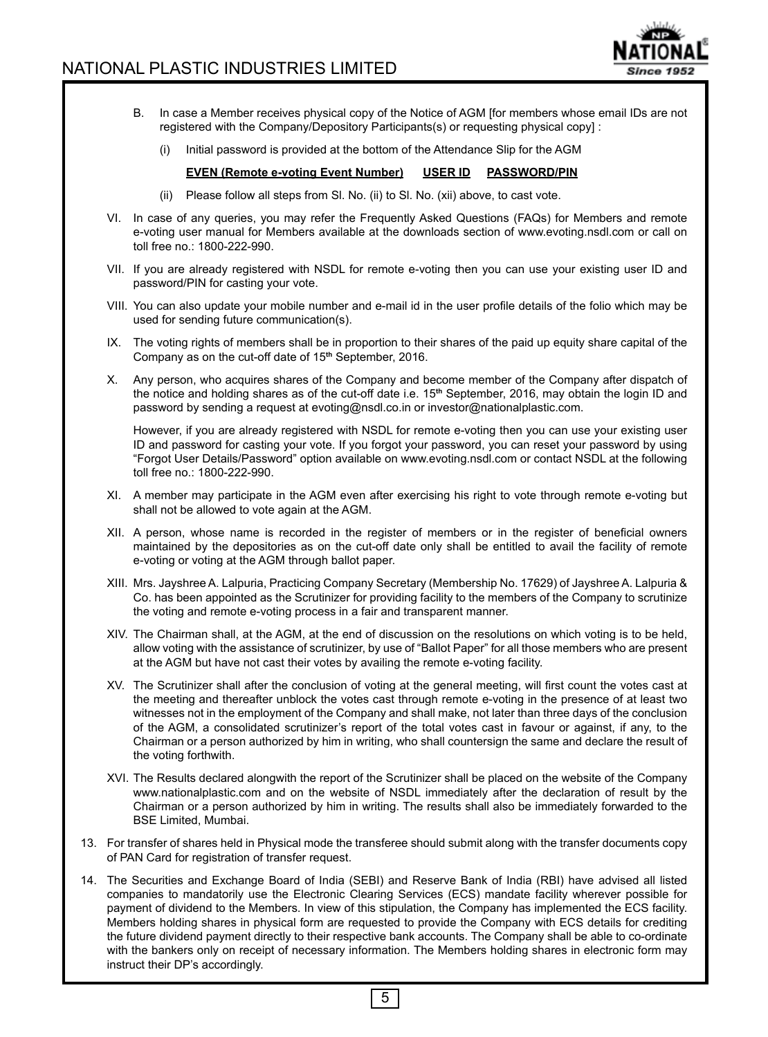

- B. In case a Member receives physical copy of the Notice of AGM [for members whose email IDs are not registered with the Company/Depository Participants(s) or requesting physical copy] :
	- (i) Initial password is provided at the bottom of the Attendance Slip for the AGM

#### **EVEN (Remote e-voting Event Number) USER ID PASSWORD/PIN**

- (ii) Please follow all steps from Sl. No. (ii) to Sl. No. (xii) above, to cast vote.
- VI. In case of any queries, you may refer the Frequently Asked Questions (FAQs) for Members and remote e-voting user manual for Members available at the downloads section of www.evoting.nsdl.com or call on toll free no.: 1800-222-990.
- VII. If you are already registered with NSDL for remote e-voting then you can use your existing user ID and password/PIN for casting your vote.
- VIII. You can also update your mobile number and e-mail id in the user profile details of the folio which may be used for sending future communication(s).
- IX. The voting rights of members shall be in proportion to their shares of the paid up equity share capital of the Company as on the cut-off date of 15**th** September, 2016.
- X. Any person, who acquires shares of the Company and become member of the Company after dispatch of the notice and holding shares as of the cut-off date i.e. 15**th** September, 2016, may obtain the login ID and password by sending a request at evoting@nsdl.co.in or investor@nationalplastic.com.

 However, if you are already registered with NSDL for remote e-voting then you can use your existing user ID and password for casting your vote. If you forgot your password, you can reset your password by using "Forgot User Details/Password" option available on www.evoting.nsdl.com or contact NSDL at the following toll free no.: 1800-222-990.

- XI. A member may participate in the AGM even after exercising his right to vote through remote e-voting but shall not be allowed to vote again at the AGM.
- XII. A person, whose name is recorded in the register of members or in the register of beneficial owners maintained by the depositories as on the cut-off date only shall be entitled to avail the facility of remote e-voting or voting at the AGM through ballot paper.
- XIII. Mrs. Jayshree A. Lalpuria, Practicing Company Secretary (Membership No. 17629) of Jayshree A. Lalpuria & Co. has been appointed as the Scrutinizer for providing facility to the members of the Company to scrutinize the voting and remote e-voting process in a fair and transparent manner.
- XIV. The Chairman shall, at the AGM, at the end of discussion on the resolutions on which voting is to be held, allow voting with the assistance of scrutinizer, by use of "Ballot Paper" for all those members who are present at the AGM but have not cast their votes by availing the remote e-voting facility.
- XV. The Scrutinizer shall after the conclusion of voting at the general meeting, will first count the votes cast at the meeting and thereafter unblock the votes cast through remote e-voting in the presence of at least two witnesses not in the employment of the Company and shall make, not later than three days of the conclusion of the AGM, a consolidated scrutinizer's report of the total votes cast in favour or against, if any, to the Chairman or a person authorized by him in writing, who shall countersign the same and declare the result of the voting forthwith.
- XVI. The Results declared alongwith the report of the Scrutinizer shall be placed on the website of the Company www.nationalplastic.com and on the website of NSDL immediately after the declaration of result by the Chairman or a person authorized by him in writing. The results shall also be immediately forwarded to the BSE Limited, Mumbai.
- 13. For transfer of shares held in Physical mode the transferee should submit along with the transfer documents copy of PAN Card for registration of transfer request.
- 14. The Securities and Exchange Board of India (SEBI) and Reserve Bank of India (RBI) have advised all listed companies to mandatorily use the Electronic Clearing Services (ECS) mandate facility wherever possible for payment of dividend to the Members. In view of this stipulation, the Company has implemented the ECS facility. Members holding shares in physical form are requested to provide the Company with ECS details for crediting the future dividend payment directly to their respective bank accounts. The Company shall be able to co-ordinate with the bankers only on receipt of necessary information. The Members holding shares in electronic form may instruct their DP's accordingly.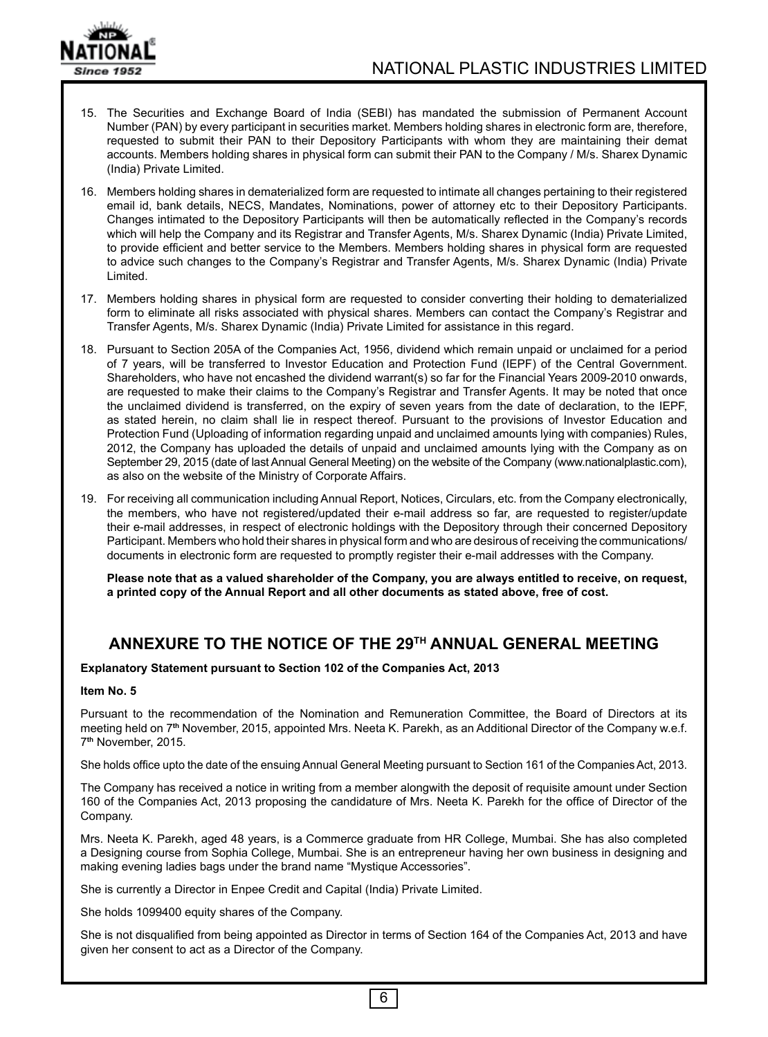

15. The Securities and Exchange Board of India (SEBI) has mandated the submission of Permanent Account Number (PAN) by every participant in securities market. Members holding shares in electronic form are, therefore, requested to submit their PAN to their Depository Participants with whom they are maintaining their demat accounts. Members holding shares in physical form can submit their PAN to the Company / M/s. Sharex Dynamic (India) Private Limited.

16. Members holding shares in dematerialized form are requested to intimate all changes pertaining to their registered email id, bank details, NECS, Mandates, Nominations, power of attorney etc to their Depository Participants. Changes intimated to the Depository Participants will then be automatically reflected in the Company's records which will help the Company and its Registrar and Transfer Agents, M/s. Sharex Dynamic (India) Private Limited, to provide efficient and better service to the Members. Members holding shares in physical form are requested to advice such changes to the Company's Registrar and Transfer Agents, M/s. Sharex Dynamic (India) Private Limited.

- 17. Members holding shares in physical form are requested to consider converting their holding to dematerialized form to eliminate all risks associated with physical shares. Members can contact the Company's Registrar and Transfer Agents, M/s. Sharex Dynamic (India) Private Limited for assistance in this regard.
- 18. Pursuant to Section 205A of the Companies Act, 1956, dividend which remain unpaid or unclaimed for a period of 7 years, will be transferred to Investor Education and Protection Fund (IEPF) of the Central Government. Shareholders, who have not encashed the dividend warrant(s) so far for the Financial Years 2009-2010 onwards, are requested to make their claims to the Company's Registrar and Transfer Agents. It may be noted that once the unclaimed dividend is transferred, on the expiry of seven years from the date of declaration, to the IEPF, as stated herein, no claim shall lie in respect thereof. Pursuant to the provisions of Investor Education and Protection Fund (Uploading of information regarding unpaid and unclaimed amounts lying with companies) Rules, 2012, the Company has uploaded the details of unpaid and unclaimed amounts lying with the Company as on September 29, 2015 (date of last Annual General Meeting) on the website of the Company (www.nationalplastic.com), as also on the website of the Ministry of Corporate Affairs.
- 19. For receiving all communication including Annual Report, Notices, Circulars, etc. from the Company electronically, the members, who have not registered/updated their e-mail address so far, are requested to register/update their e-mail addresses, in respect of electronic holdings with the Depository through their concerned Depository Participant. Members who hold their shares in physical form and who are desirous of receiving the communications/ documents in electronic form are requested to promptly register their e-mail addresses with the Company.

**Please note that as a valued shareholder of the Company, you are always entitled to receive, on request, a printed copy of the Annual Report and all other documents as stated above, free of cost.**

## **ANNEXURE TO THE NOTICE OF THE 29TH ANNUAL GENERAL MEETING**

**Explanatory Statement pursuant to Section 102 of the Companies Act, 2013**

#### **Item No. 5**

Pursuant to the recommendation of the Nomination and Remuneration Committee, the Board of Directors at its meeting held on 7**th** November, 2015, appointed Mrs. Neeta K. Parekh, as an Additional Director of the Company w.e.f. 7**th** November, 2015.

She holds office upto the date of the ensuing Annual General Meeting pursuant to Section 161 of the Companies Act, 2013.

The Company has received a notice in writing from a member alongwith the deposit of requisite amount under Section 160 of the Companies Act, 2013 proposing the candidature of Mrs. Neeta K. Parekh for the office of Director of the Company.

Mrs. Neeta K. Parekh, aged 48 years, is a Commerce graduate from HR College, Mumbai. She has also completed a Designing course from Sophia College, Mumbai. She is an entrepreneur having her own business in designing and making evening ladies bags under the brand name "Mystique Accessories".

She is currently a Director in Enpee Credit and Capital (India) Private Limited.

She holds 1099400 equity shares of the Company.

She is not disqualified from being appointed as Director in terms of Section 164 of the Companies Act, 2013 and have given her consent to act as a Director of the Company.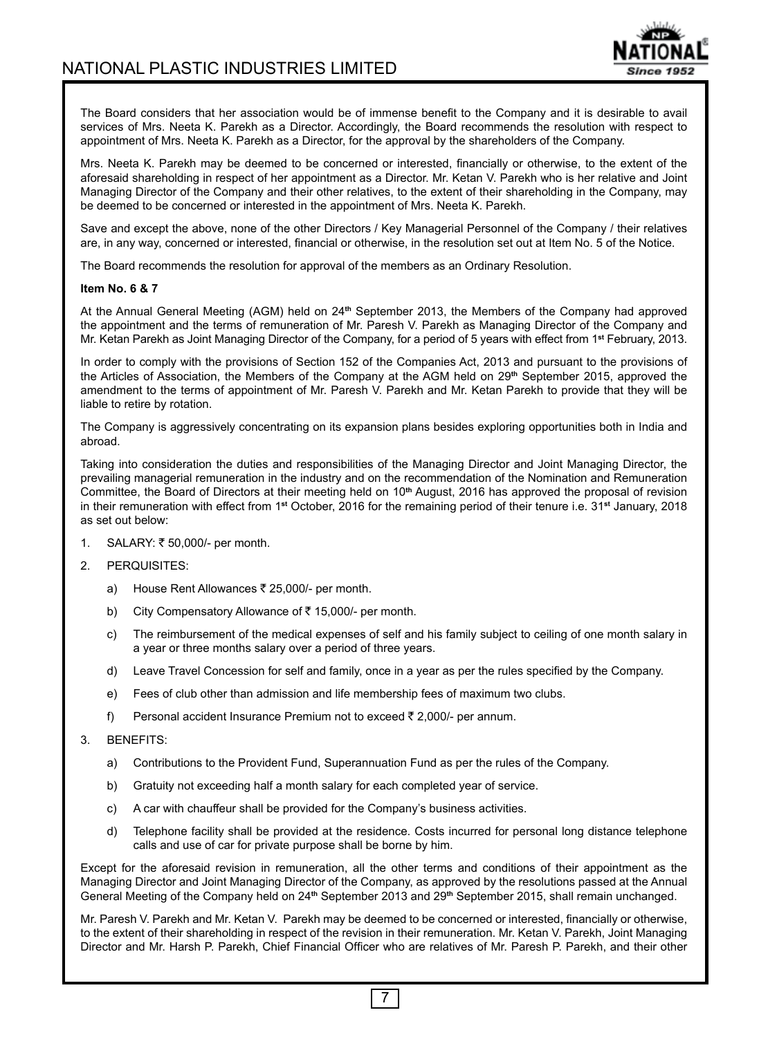

The Board considers that her association would be of immense benefit to the Company and it is desirable to avail services of Mrs. Neeta K. Parekh as a Director. Accordingly, the Board recommends the resolution with respect to appointment of Mrs. Neeta K. Parekh as a Director, for the approval by the shareholders of the Company.

Mrs. Neeta K. Parekh may be deemed to be concerned or interested, financially or otherwise, to the extent of the aforesaid shareholding in respect of her appointment as a Director. Mr. Ketan V. Parekh who is her relative and Joint Managing Director of the Company and their other relatives, to the extent of their shareholding in the Company, may be deemed to be concerned or interested in the appointment of Mrs. Neeta K. Parekh.

Save and except the above, none of the other Directors / Key Managerial Personnel of the Company / their relatives are, in any way, concerned or interested, financial or otherwise, in the resolution set out at Item No. 5 of the Notice.

The Board recommends the resolution for approval of the members as an Ordinary Resolution.

#### **Item No. 6 & 7**

At the Annual General Meeting (AGM) held on 24**th** September 2013, the Members of the Company had approved the appointment and the terms of remuneration of Mr. Paresh V. Parekh as Managing Director of the Company and Mr. Ketan Parekh as Joint Managing Director of the Company, for a period of 5 years with effect from 1**st** February, 2013.

In order to comply with the provisions of Section 152 of the Companies Act, 2013 and pursuant to the provisions of the Articles of Association, the Members of the Company at the AGM held on 29**th** September 2015, approved the amendment to the terms of appointment of Mr. Paresh V. Parekh and Mr. Ketan Parekh to provide that they will be liable to retire by rotation.

The Company is aggressively concentrating on its expansion plans besides exploring opportunities both in India and abroad.

Taking into consideration the duties and responsibilities of the Managing Director and Joint Managing Director, the prevailing managerial remuneration in the industry and on the recommendation of the Nomination and Remuneration Committee, the Board of Directors at their meeting held on 10**th** August, 2016 has approved the proposal of revision in their remuneration with effect from 1**st** October, 2016 for the remaining period of their tenure i.e. 31**st** January, 2018 as set out below:

- 1. SALARY: ₹ 50,000/- per month.
- 2. PERQUISITES:
	- a) House Rent Allowances  $\bar{\tau}$  25,000/- per month.
	- b) City Compensatory Allowance of  $\overline{z}$  15,000/- per month.
	- c) The reimbursement of the medical expenses of self and his family subject to ceiling of one month salary in a year or three months salary over a period of three years.
	- d) Leave Travel Concession for self and family, once in a year as per the rules specified by the Company.
	- e) Fees of club other than admission and life membership fees of maximum two clubs.
	- f) Personal accident Insurance Premium not to exceed  $\bar{z}$  2,000/- per annum.
- 3. BENEFITS:
	- a) Contributions to the Provident Fund, Superannuation Fund as per the rules of the Company.
	- b) Gratuity not exceeding half a month salary for each completed year of service.
	- c) A car with chauffeur shall be provided for the Company's business activities.
	- d) Telephone facility shall be provided at the residence. Costs incurred for personal long distance telephone calls and use of car for private purpose shall be borne by him.

Except for the aforesaid revision in remuneration, all the other terms and conditions of their appointment as the Managing Director and Joint Managing Director of the Company, as approved by the resolutions passed at the Annual General Meeting of the Company held on 24**th** September 2013 and 29**th** September 2015, shall remain unchanged.

Mr. Paresh V. Parekh and Mr. Ketan V. Parekh may be deemed to be concerned or interested, financially or otherwise, to the extent of their shareholding in respect of the revision in their remuneration. Mr. Ketan V. Parekh, Joint Managing Director and Mr. Harsh P. Parekh, Chief Financial Officer who are relatives of Mr. Paresh P. Parekh, and their other

7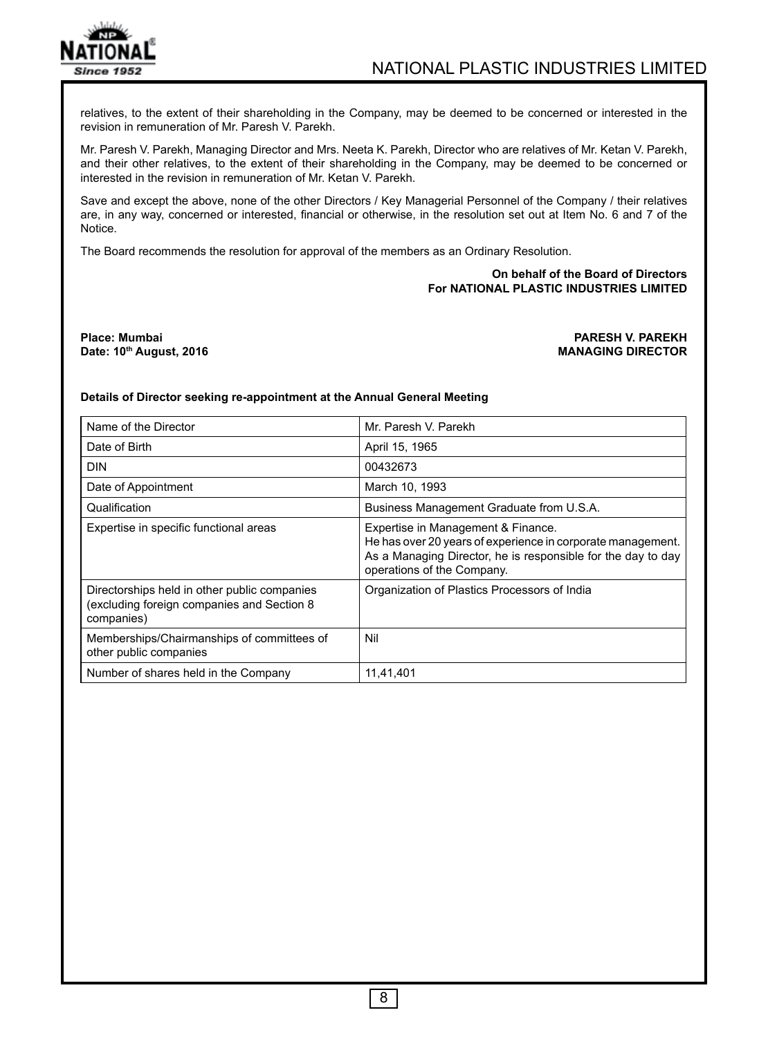

relatives, to the extent of their shareholding in the Company, may be deemed to be concerned or interested in the revision in remuneration of Mr. Paresh V. Parekh.

Mr. Paresh V. Parekh, Managing Director and Mrs. Neeta K. Parekh, Director who are relatives of Mr. Ketan V. Parekh, and their other relatives, to the extent of their shareholding in the Company, may be deemed to be concerned or interested in the revision in remuneration of Mr. Ketan V. Parekh.

Save and except the above, none of the other Directors / Key Managerial Personnel of the Company / their relatives are, in any way, concerned or interested, financial or otherwise, in the resolution set out at Item No. 6 and 7 of the Notice.

The Board recommends the resolution for approval of the members as an Ordinary Resolution.

### **On behalf of the Board of Directors For NATIONAL PLASTIC INDUSTRIES LIMITED**

**Place: Mumbai PARESH V. PAREKH Date: 10th August, 2016** 

#### **Details of Director seeking re-appointment at the Annual General Meeting**

| Name of the Director                                                                                     | Mr. Paresh V. Parekh                                                                                                                                                                            |  |
|----------------------------------------------------------------------------------------------------------|-------------------------------------------------------------------------------------------------------------------------------------------------------------------------------------------------|--|
| Date of Birth                                                                                            | April 15, 1965                                                                                                                                                                                  |  |
| <b>DIN</b>                                                                                               | 00432673                                                                                                                                                                                        |  |
| Date of Appointment                                                                                      | March 10, 1993                                                                                                                                                                                  |  |
| Qualification                                                                                            | Business Management Graduate from U.S.A.                                                                                                                                                        |  |
| Expertise in specific functional areas                                                                   | Expertise in Management & Finance.<br>He has over 20 years of experience in corporate management.<br>As a Managing Director, he is responsible for the day to day<br>operations of the Company. |  |
| Directorships held in other public companies<br>(excluding foreign companies and Section 8<br>companies) | Organization of Plastics Processors of India                                                                                                                                                    |  |
| Memberships/Chairmanships of committees of<br>other public companies                                     | Nil                                                                                                                                                                                             |  |
| Number of shares held in the Company                                                                     | 11,41,401                                                                                                                                                                                       |  |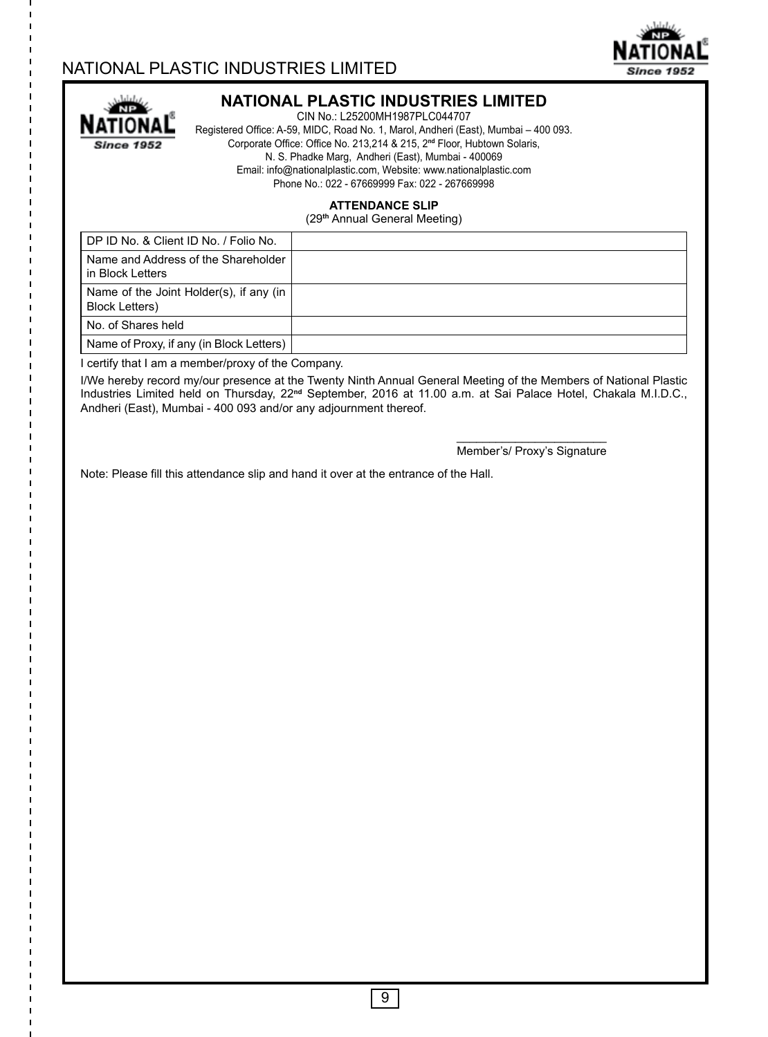# NATIONAL PLASTIC INDUSTRIES LIMITED



I  $\mathbf{I}$ I.

I п

ı

 $\mathbf{I}$ I

 $\mathbf{I}$ ı ı T I п I ı  $\mathbf{I}$ I

ı I I ı п ı  $\mathbf{I}$ 

> ı п

> I

п

## **NATIONAL PLASTIC INDUSTRIES LIMITED**

CIN No.: L25200MH1987PLC044707 Registered Office: A-59, MIDC, Road No. 1, Marol, Andheri (East), Mumbai – 400 093. Corporate Office: Office No. 213,214 & 215, 2**nd** Floor, Hubtown Solaris, N. S. Phadke Marg, Andheri (East), Mumbai - 400069 Email: info@nationalplastic.com, Website: www.nationalplastic.com Phone No.: 022 - 67669999 Fax: 022 - 267669998

### **ATTENDANCE SLIP**

(29**th** Annual General Meeting)

| DP ID No. & Client ID No. / Folio No.                             |  |
|-------------------------------------------------------------------|--|
| Name and Address of the Shareholder<br>in Block Letters           |  |
| Name of the Joint Holder(s), if any (in<br><b>Block Letters</b> ) |  |
| No. of Shares held                                                |  |
| Name of Proxy, if any (in Block Letters)                          |  |

I certify that I am a member/proxy of the Company.

I/We hereby record my/our presence at the Twenty Ninth Annual General Meeting of the Members of National Plastic Industries Limited held on Thursday, 22**nd** September, 2016 at 11.00 a.m. at Sai Palace Hotel, Chakala M.I.D.C., Andheri (East), Mumbai - 400 093 and/or any adjournment thereof.

> \_\_\_\_\_\_\_\_\_\_\_\_\_\_\_\_\_\_\_\_\_\_\_ Member's/ Proxy's Signature

**Since 1952** 

Note: Please fill this attendance slip and hand it over at the entrance of the Hall.